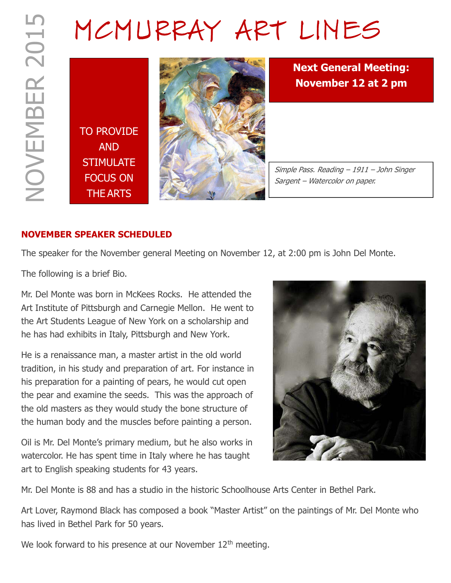# MCMURRAY ART LINES

TO PROVIDE AND **STIMULATE** FOCUS ON THE ARTS



Next General Meeting: November 12 at 2 pm

Simple Pass. Reading – 1911 – John Singer Sargent – Watercolor on paper.

# NOVEMBER SPEAKER SCHEDULED

The speaker for the November general Meeting on November 12, at 2:00 pm is John Del Monte.

The following is a brief Bio.

Mr. Del Monte was born in McKees Rocks. He attended the Art Institute of Pittsburgh and Carnegie Mellon. He went to the Art Students League of New York on a scholarship and he has had exhibits in Italy, Pittsburgh and New York.

He is a renaissance man, a master artist in the old world tradition, in his study and preparation of art. For instance in his preparation for a painting of pears, he would cut open the pear and examine the seeds. This was the approach of the old masters as they would study the bone structure of the human body and the muscles before painting a person.

Oil is Mr. Del Monte's primary medium, but he also works in watercolor. He has spent time in Italy where he has taught art to English speaking students for 43 years.



Mr. Del Monte is 88 and has a studio in the historic Schoolhouse Arts Center in Bethel Park.

Art Lover, Raymond Black has composed a book "Master Artist" on the paintings of Mr. Del Monte who has lived in Bethel Park for 50 years.

We look forward to his presence at our November 12<sup>th</sup> meeting.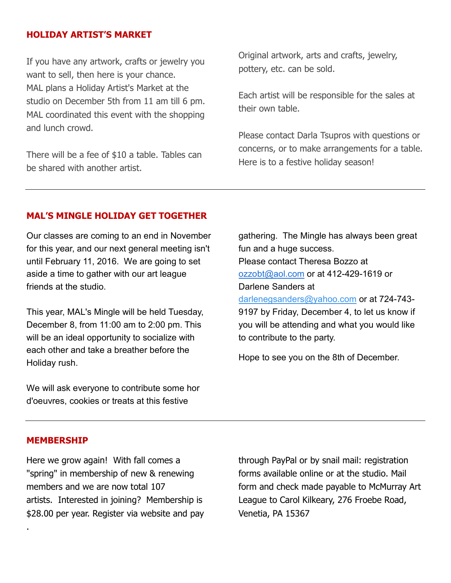#### HOLIDAY ARTIST'S MARKET

If you have any artwork, crafts or jewelry you want to sell, then here is your chance. MAL plans a Holiday Artist's Market at the studio on December 5th from 11 am till 6 pm. MAL coordinated this event with the shopping and lunch crowd.

There will be a fee of \$10 a table. Tables can be shared with another artist.

Original artwork, arts and crafts, jewelry, pottery, etc. can be sold.

Each artist will be responsible for the sales at their own table.

Please contact Darla Tsupros with questions or concerns, or to make arrangements for a table. Here is to a festive holiday season!

#### MAL'S MINGLE HOLIDAY GET TOGETHER

Our classes are coming to an end in November for this year, and our next general meeting isn't until February 11, 2016. We are going to set aside a time to gather with our art league friends at the studio.

This year, MAL's Mingle will be held Tuesday, December 8, from 11:00 am to 2:00 pm. This will be an ideal opportunity to socialize with each other and take a breather before the Holiday rush.

We will ask everyone to contribute some hor d'oeuvres, cookies or treats at this festive

gathering. The Mingle has always been great fun and a huge success. Please contact Theresa Bozzo at ozzobt@aol.com or at 412-429-1619 or Darlene Sanders at darlenegsanders@yahoo.com or at 724-743- 9197 by Friday, December 4, to let us know if you will be attending and what you would like to contribute to the party.

Hope to see you on the 8th of December.

#### MEMBERSHIP

.

Here we grow again! With fall comes a "spring" in membership of new & renewing members and we are now total 107 artists. Interested in joining? Membership is \$28.00 per year. Register via website and pay through PayPal or by snail mail: registration forms available online or at the studio. Mail form and check made payable to McMurray Art League to Carol Kilkeary, 276 Froebe Road, Venetia, PA 15367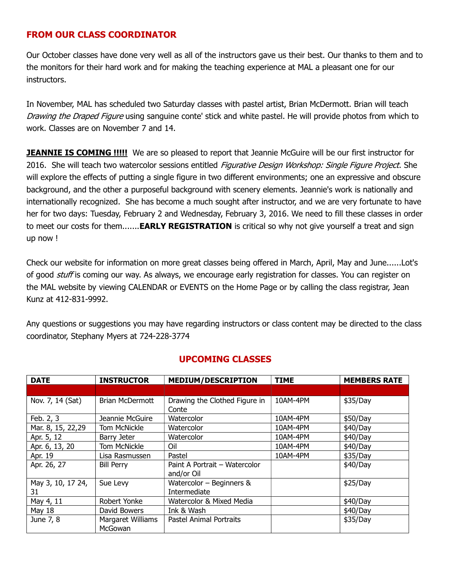#### FROM OUR CLASS COORDINATOR

Our October classes have done very well as all of the instructors gave us their best. Our thanks to them and to the monitors for their hard work and for making the teaching experience at MAL a pleasant one for our instructors.

In November, MAL has scheduled two Saturday classes with pastel artist, Brian McDermott. Brian will teach Drawing the Draped Figure using sanguine conte' stick and white pastel. He will provide photos from which to work. Classes are on November 7 and 14.

**JEANNIE IS COMING !!!!!** We are so pleased to report that Jeannie McGuire will be our first instructor for 2016. She will teach two watercolor sessions entitled Figurative Design Workshop: Single Figure Project. She will explore the effects of putting a single figure in two different environments; one an expressive and obscure background, and the other a purposeful background with scenery elements. Jeannie's work is nationally and internationally recognized. She has become a much sought after instructor, and we are very fortunate to have her for two days: Tuesday, February 2 and Wednesday, February 3, 2016. We need to fill these classes in order to meet our costs for them.......**EARLY REGISTRATION** is critical so why not give yourself a treat and sign up now !

Check our website for information on more great classes being offered in March, April, May and June......Lot's of good *stuff* is coming our way. As always, we encourage early registration for classes. You can register on the MAL website by viewing CALENDAR or EVENTS on the Home Page or by calling the class registrar, Jean Kunz at 412-831-9992.

Any questions or suggestions you may have regarding instructors or class content may be directed to the class coordinator, Stephany Myers at 724-228-3774

| <b>DATE</b>             | <b>INSTRUCTOR</b>                   | <b>MEDIUM/DESCRIPTION</b>                   | <b>TIME</b> | <b>MEMBERS RATE</b> |
|-------------------------|-------------------------------------|---------------------------------------------|-------------|---------------------|
|                         |                                     |                                             |             |                     |
| Nov. 7, 14 (Sat)        | <b>Brian McDermott</b>              | Drawing the Clothed Figure in<br>Conte      | 10AM-4PM    | \$35/Day            |
| Feb. 2, 3               | Jeannie McGuire                     | Watercolor                                  | 10AM-4PM    | \$50/Day            |
| Mar. 8, 15, 22,29       | Tom McNickle                        | Watercolor                                  | 10AM-4PM    | \$40/Day            |
| Apr. 5, 12              | Barry Jeter                         | Watercolor                                  | 10AM-4PM    | \$40/Day            |
| Apr. 6, 13, 20          | <b>Tom McNickle</b>                 | Oil                                         | 10AM-4PM    | \$40/Day            |
| Apr. 19                 | Lisa Rasmussen                      | Pastel                                      | 10AM-4PM    | \$35/Day            |
| Apr. 26, 27             | <b>Bill Perry</b>                   | Paint A Portrait - Watercolor<br>and/or Oil |             | \$40/Day            |
| May 3, 10, 17 24,<br>31 | Sue Levy                            | Watercolor - Beginners &<br>Intermediate    |             | \$25/Day            |
| May 4, 11               | Robert Yonke                        | Watercolor & Mixed Media                    |             | \$40/Day            |
| <b>May 18</b>           | David Bowers                        | Ink & Wash                                  |             | \$40/Day            |
| June 7, 8               | Margaret Williams<br><b>McGowan</b> | Pastel Animal Portraits                     |             | \$35/Day            |

#### UPCOMING CLASSES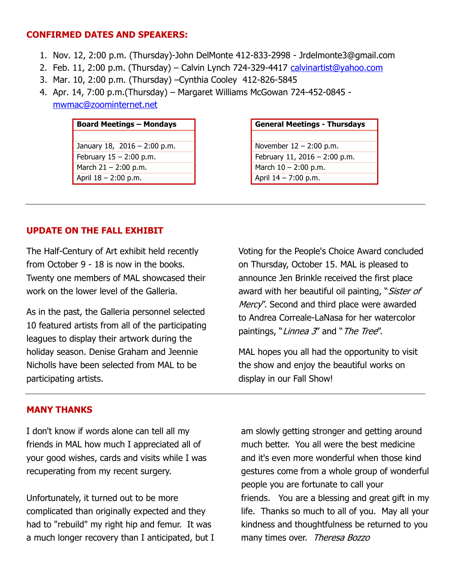#### CONFIRMED DATES AND SPEAKERS:

- 1. Nov. 12, 2:00 p.m. (Thursday)-John DelMonte 412-833-2998 Jrdelmonte3@gmail.com
- 2. Feb. 11, 2:00 p.m. (Thursday) Calvin Lynch 724-329-4417 calvinartist@yahoo.com
- 3. Mar. 10, 2:00 p.m. (Thursday) –Cynthia Cooley 412-826-5845
- 4. Apr. 14, 7:00 p.m.(Thursday) Margaret Williams McGowan 724-452-0845 mwmac@zoominternet.net

| <b>Board Meetings - Mondays</b> | <b>General Meetings - Thursda</b> |
|---------------------------------|-----------------------------------|
|                                 |                                   |
| January 18, $2016 - 2:00$ p.m.  | November $12 - 2:00$ p.m.         |
| February $15 - 2:00$ p.m.       | February 11, 2016 - 2:00 p.m.     |
| March $21 - 2:00$ p.m.          | March 10 - 2:00 p.m.              |
| April $18 - 2:00$ p.m.          | April $14 - 7:00$ p.m.            |

| <b>Board Meetings - Mondays</b> | <b>General Meetings - Thursdays</b> |
|---------------------------------|-------------------------------------|
|                                 |                                     |
| January 18, 2016 - 2:00 p.m.    | November $12 - 2:00$ p.m.           |
| February $15 - 2:00$ p.m.       | February 11, 2016 - $2:00$ p.m.     |
| March 21 - 2:00 p.m.            | March $10 - 2:00$ p.m.              |
| April 18 - 2:00 p.m.            | April $14 - 7:00$ p.m.              |

### UPDATE ON THE FALL EXHIBIT

The Half-Century of Art exhibit held recently from October 9 - 18 is now in the books. Twenty one members of MAL showcased their work on the lower level of the Galleria.

As in the past, the Galleria personnel selected 10 featured artists from all of the participating leagues to display their artwork during the holiday season. Denise Graham and Jeennie Nicholls have been selected from MAL to be participating artists.

Voting for the People's Choice Award concluded on Thursday, October 15. MAL is pleased to announce Jen Brinkle received the first place award with her beautiful oil painting, "Sister of Mercy''. Second and third place were awarded to Andrea Correale-LaNasa for her watercolor paintings, "Linnea 3" and "The Tree".

MAL hopes you all had the opportunity to visit the show and enjoy the beautiful works on display in our Fall Show!

#### MANY THANKS

I don't know if words alone can tell all my friends in MAL how much I appreciated all of your good wishes, cards and visits while I was recuperating from my recent surgery.

Unfortunately, it turned out to be more complicated than originally expected and they had to "rebuild" my right hip and femur. It was a much longer recovery than I anticipated, but I am slowly getting stronger and getting around much better. You all were the best medicine and it's even more wonderful when those kind gestures come from a whole group of wonderful people you are fortunate to call your friends. You are a blessing and great gift in my life. Thanks so much to all of you. May all your kindness and thoughtfulness be returned to you many times over. Theresa Bozzo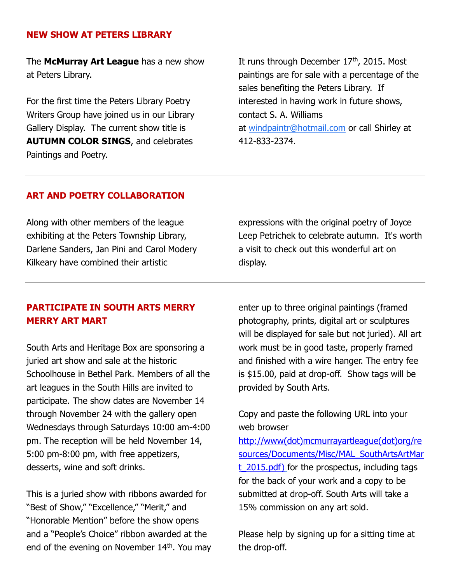#### NEW SHOW AT PETERS LIBRARY

The **McMurray Art League** has a new show at Peters Library.

For the first time the Peters Library Poetry Writers Group have joined us in our Library Gallery Display. The current show title is AUTUMN COLOR SINGS, and celebrates Paintings and Poetry.

It runs through December  $17<sup>th</sup>$ , 2015. Most paintings are for sale with a percentage of the sales benefiting the Peters Library. If interested in having work in future shows, contact S. A. Williams at windpaintr@hotmail.com or call Shirley at 412-833-2374.

#### ART AND POETRY COLLABORATION

Along with other members of the league exhibiting at the Peters Township Library, Darlene Sanders, Jan Pini and Carol Modery Kilkeary have combined their artistic

expressions with the original poetry of Joyce Leep Petrichek to celebrate autumn. It's worth a visit to check out this wonderful art on display.

## PARTICIPATE IN SOUTH ARTS MERRY MERRY ART MART

South Arts and Heritage Box are sponsoring a juried art show and sale at the historic Schoolhouse in Bethel Park. Members of all the art leagues in the South Hills are invited to participate. The show dates are November 14 through November 24 with the gallery open Wednesdays through Saturdays 10:00 am-4:00 pm. The reception will be held November 14, 5:00 pm-8:00 pm, with free appetizers, desserts, wine and soft drinks.

This is a juried show with ribbons awarded for "Best of Show," "Excellence," "Merit," and "Honorable Mention" before the show opens and a "People's Choice" ribbon awarded at the end of the evening on November 14<sup>th</sup>. You may enter up to three original paintings (framed photography, prints, digital art or sculptures will be displayed for sale but not juried). All art work must be in good taste, properly framed and finished with a wire hanger. The entry fee is \$15.00, paid at drop-off. Show tags will be provided by South Arts.

Copy and paste the following URL into your web browser

http://www(dot)mcmurrayartleague(dot)org/re sources/Documents/Misc/MAL\_SouthArtsArtMar  $t$  2015.pdf) for the prospectus, including tags for the back of your work and a copy to be submitted at drop-off. South Arts will take a 15% commission on any art sold.

Please help by signing up for a sitting time at the drop-off.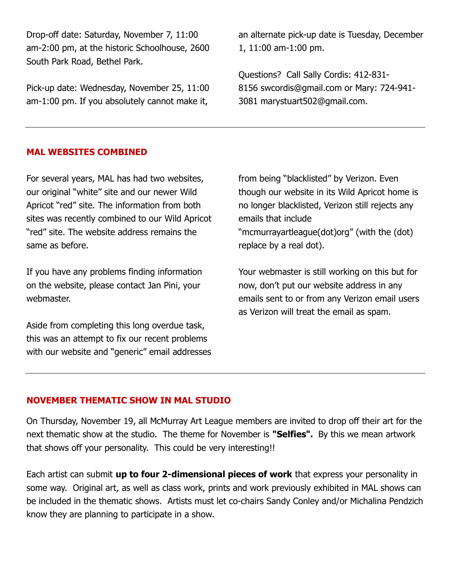Drop-off date: Saturday, November 7, 11:00 am-2:00 pm, at the historic Schoolhouse, 2600 South Park Road, Bethel Park.

Pick-up date: Wednesday, November 25, 11:00 am-1:00 pm. If you absolutely cannot make it,

an alternate pick-up date is Tuesday, December 1, 11:00 am-1:00 pm.

Questions? Call Sally Cordis: 412-831- 8156 swcordis@gmail.com or Mary: 724-941- 3081 marystuart502@gmail.com.

#### MAL WEBSITES COMBINED

For several years, MAL has had two websites, our original "white" site and our newer Wild Apricot "red" site. The information from both sites was recently combined to our Wild Apricot "red" site. The website address remains the same as before.

If you have any problems finding information on the website, please contact Jan Pini, your webmaster.

Aside from completing this long overdue task, this was an attempt to fix our recent problems with our website and "generic" email addresses from being "blacklisted" by Verizon. Even though our website in its Wild Apricot home is no longer blacklisted, Verizon still rejects any emails that include "mcmurrayartleague(dot)org" (with the (dot) replace by a real dot).

Your webmaster is still working on this but for now, don't put our website address in any emails sent to or from any Verizon email users as Verizon will treat the email as spam.

#### NOVEMBER THEMATIC SHOW IN MAL STUDIO

On Thursday, November 19, all McMurray Art League members are invited to drop off their art for the next thematic show at the studio. The theme for November is "Selfies". By this we mean artwork that shows off your personality. This could be very interesting!!

Each artist can submit up to four 2-dimensional pieces of work that express your personality in some way. Original art, as well as class work, prints and work previously exhibited in MAL shows can be included in the thematic shows. Artists must let co-chairs Sandy Conley and/or Michalina Pendzich know they are planning to participate in a show.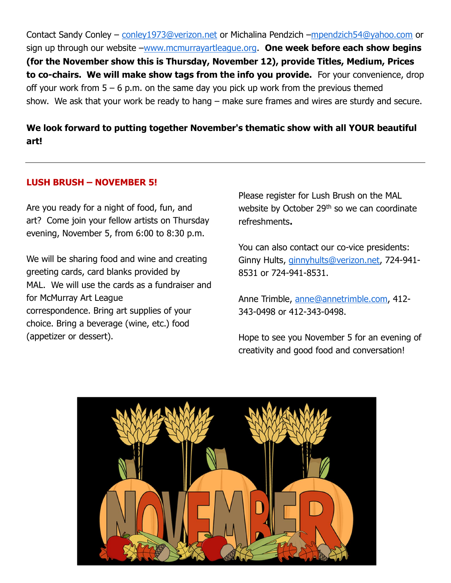Contact Sandy Conley – conley1973@verizon.net or Michalina Pendzich –mpendzich54@yahoo.com or sign up through our website –www.mcmurrayartleague.org. One week before each show begins (for the November show this is Thursday, November 12), provide Titles, Medium, Prices to co-chairs. We will make show tags from the info you provide. For your convenience, drop off your work from  $5 - 6$  p.m. on the same day you pick up work from the previous themed show. We ask that your work be ready to hang – make sure frames and wires are sturdy and secure.

# We look forward to putting together November's thematic show with all YOUR beautiful art!

#### LUSH BRUSH – NOVEMBER 5!

Are you ready for a night of food, fun, and art? Come join your fellow artists on Thursday evening, November 5, from 6:00 to 8:30 p.m.

We will be sharing food and wine and creating greeting cards, card blanks provided by MAL. We will use the cards as a fundraiser and for McMurray Art League correspondence. Bring art supplies of your choice. Bring a beverage (wine, etc.) food (appetizer or dessert).

Please register for Lush Brush on the MAL website by October 29<sup>th</sup> so we can coordinate refreshments.

You can also contact our co-vice presidents: Ginny Hults, ginnyhults@verizon.net, 724-941- 8531 or 724-941-8531.

Anne Trimble, anne@annetrimble.com, 412-343-0498 or 412-343-0498.

Hope to see you November 5 for an evening of creativity and good food and conversation!